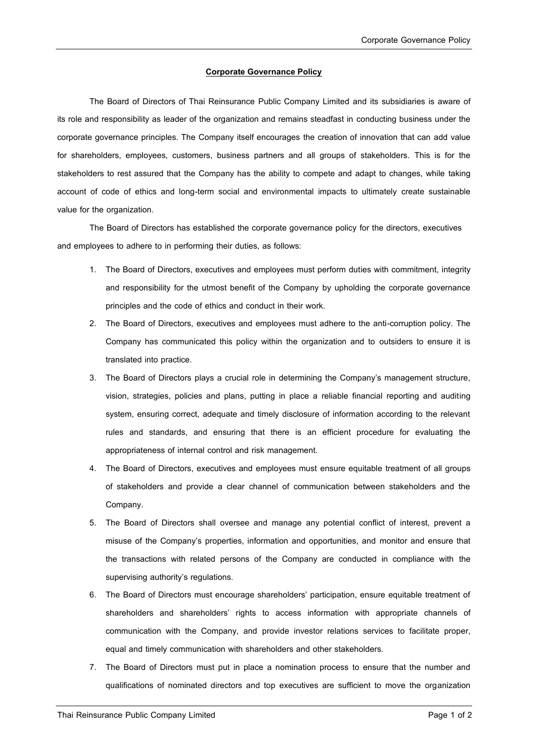## **Corporate Governance Policy**

The Board of Directors of Thai Reinsurance Public Company Limited and its subsidiaries is aware of its role and responsibility as leader of the organization and remains steadfast in conducting business under the corporate governance principles. The Company itself encourages the creation of innovation that can add value for shareholders, employees, customers, business partners and all groups of stakeholders. This is for the stakeholders to rest assured that the Company has the ability to compete and adapt to changes, while taking account of code of ethics and long-term social and environmental impacts to ultimately create sustainable value for the organization.

The Board of Directors has established the corporate governance policy for the directors, executives and employees to adhere to in performing their duties, as follows:

- 1. The Board of Directors, executives and employees must perform duties with commitment, integrity and responsibility for the utmost benefit of the Company by upholding the corporate governance principles and the code of ethics and conduct in their work.
- 2. The Board of Directors, executives and employees must adhere to the anti-corruption policy. The Company has communicated this policy within the organization and to outsiders to ensure it is translated into practice.
- 3. The Board of Directors plays a crucial role in determining the Company's management structure, vision, strategies, policies and plans, putting in place a reliable financial reporting and auditing system, ensuring correct, adequate and timely disclosure of information according to the relevant rules and standards, and ensuring that there is an efficient procedure for evaluating the appropriateness of internal control and risk management.
- 4. The Board of Directors, executives and employees must ensure equitable treatment of all groups of stakeholders and provide a clear channel of communication between stakeholders and the Company.
- 5. The Board of Directors shall oversee and manage any potential conflict of interest, prevent a misuse of the Company's properties, information and opportunities, and monitor and ensure that the transactions with related persons of the Company are conducted in compliance with the supervising authority's regulations.
- 6. The Board of Directors must encourage shareholders' participation, ensure equitable treatment of shareholders and shareholders' rights to access information with appropriate channels of communication with the Company, and provide investor relations services to facilitate proper, equal and timely communication with shareholders and other stakeholders.
- 7. The Board of Directors must put in place a nomination process to ensure that the number and qualifications of nominated directors and top executives are sufficient to move the organization